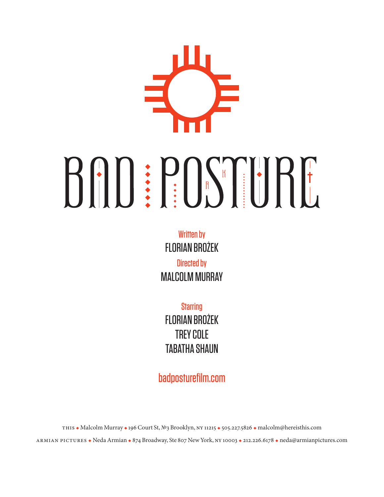# BAD: POSTURE

Written by FLORIAN BROŻEK Directed by MALCOLM MURRAY

**Starring** FLORIAN BROŻEK TREY COLE **TARATHA SHAIIN** 

badposturefilm.com

this Malcolm Murray 196 Court St, №3 Brooklyn, ny 11215 505.227.5826 malcolm@hereisthis.com

ARMIAN PICTURES • Neda Armian • 874 Broadway, Ste 807 New York, NY 10003 • 212.226.6178 • neda@armianpictures.com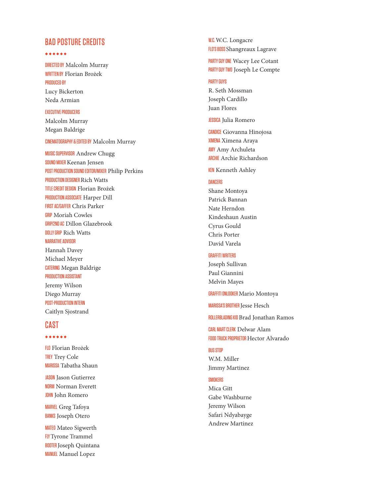# BAD POSTURE CREDITS

#### 

<mark>DIRECTED BY</mark> Malcolm Murray WRITTEN BY Florian Brożek PRODUCED BY Lucy Bickerton Neda Armian

#### EXECUTIVE PRODUCERS

Malcolm Murray Megan Baldrige

## CINEMATOGRAPHY & EDITED BY Malcolm Murray

MUSIC SUPERVISOR Andrew Chugg SOUND MIXER Keenan Jensen POST PRODUCTION SOUND EDITOR/MIXER Philip Perkins PRODUCTION DESIGNER Rich Watts TITLE CREDIT DESIGN Florian Brożek PRODUCTION ASSOCIATE Harper Dill FIRST AC/GAFFER Chris Parker **GRIP** Moriah Cowles GRIP/2ND AC Dillon Glazebrook <mark>DOLLY GRIP</mark> Rich Watts NARRATIVE ADVISOR Hannah Davey

Michael Meyer CATERING Megan Baldrige PRODUCTION ASSISTANT Jeremy Wilson Diego Murray POST-PRODUCTION INTERN Caitlyn Sjostrand

# **CAST**

#### 

<mark>FL0</mark> Florian Brożek TREY Trey Cole <mark>MARISSA</mark> Tabatha Shaun

JASON Jason Gutierrez NORM Norman Everett **JOHN** John Romero

MARVEL Greg Tafoya BANKS Joseph Otero

MATEO Mateo Sigwerth **FLY** Tyrone Trammel BOOTER Joseph Quintana MANUEL Manuel Lopez

W.C. Longacre FLO'S BOSS Shangreaux Lagrave

PARTY GUY ONE Wacey Lee Cotant PARTY GUY TWO Joseph Le Compte

# PARTY GUYS

R. Seth Mossman Joseph Cardillo Juan Flores

**JESSICA Julia Romero** 

CANDICE Giovanna Hinojosa XIMENA Ximena Araya **AMY** Amy Archuleta ARCHIE Archie Richardson

**KEN** Kenneth Ashley

#### **DANCERS**

Shane Montoya Patrick Bannan Nate Herndon Kindeshaun Austin Cyrus Gould Chris Porter David Varela

#### GRAFFITI WRITERS

Joseph Sullivan Paul Giannini Melvin Mayes

<mark>GRAFFITI ONLOOKER</mark> Mario Montoya

MARISSA'S BROTHER Jesse Hesch

ROLLERBLADING KID Brad Jonathan Ramos

CARL MART CLERK Delwar Alam FOOD TRUCK PROPRIETOR Hector Alvarado

#### BUS STOP

W.M. Miller Jimmy Martinez

# **SMOKERS**

Mica Gitt Gabe Washburne Jeremy Wilson Safari Ndyabayge Andrew Martinez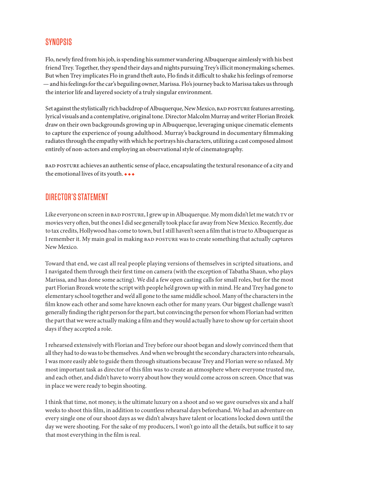# **SYNOPSIS**

Flo, newly fired from his job, is spending his summer wandering Albuquerque aimlessly with his best friend Trey. Together, they spend their days and nights pursuing Trey's illicit moneymaking schemes. But when Trey implicates Flo in grand theft auto, Flo finds it difficult to shake his feelings of remorse — and his feelings for the car's beguiling owner, Marissa. Flo's journey back to Marissa takes us through the interior life and layered society of a truly singular environment.

Set against the stylistically rich backdrop of Albuquerque, New Mexico, BAD POSTURE features arresting, lyrical visuals and a contemplative, original tone. Director Malcolm Murray and writer Florian Brożek draw on their own backgrounds growing up in Albuquerque, leveraging unique cinematic elements to capture the experience of young adulthood. Murray's background in documentary filmmaking radiates through the empathy with which he portrays his characters, utilizing a cast composed almost entirely of non-actors and employing an observational style of cinematography.

bad posture achieves an authentic sense of place, encapsulating the textural resonance of a city and the emotional lives of its youth.  $\leftrightarrow$ 

# DIRECTOR'S STATEMENT

Like everyone on screen in BAD POSTURE, I grew up in Albuquerque. My mom didn't let me watch TV or movies very often, but the ones I did see generally took place far away from New Mexico. Recently, due to tax credits, Hollywood has come to town, but I still haven't seen a film that is true to Albuquerque as I remember it. My main goal in making bad posture was to create something that actually captures New Mexico.

Toward that end, we cast all real people playing versions of themselves in scripted situations, and I navigated them through their first time on camera (with the exception of Tabatha Shaun, who plays Marissa, and has done some acting). We did a few open casting calls for small roles, but for the most part Florian Brozek wrote the script with people he'd grown up with in mind. He and Trey had gone to elementary school together and we'd all gone to the same middle school. Many of the characters in the film know each other and some have known each other for many years. Our biggest challenge wasn't generally finding the right person for the part, but convincing the person for whom Florian had written the part that we were actually making a film and they would actually have to show up for certain shoot days if they accepted a role.

I rehearsed extensively with Florian and Trey before our shoot began and slowly convinced them that all they had to do was to be themselves. And when we brought the secondary characters into rehearsals, I was more easily able to guide them through situations because Trey and Florian were so relaxed. My most important task as director of this film was to create an atmosphere where everyone trusted me, and each other, and didn't have to worry about how they would come across on screen. Once that was in place we were ready to begin shooting.

I think that time, not money, is the ultimate luxury on a shoot and so we gave ourselves six and a half weeks to shoot this film, in addition to countless rehearsal days beforehand. We had an adventure on every single one of our shoot days as we didn't always have talent or locations locked down until the day we were shooting. For the sake of my producers, I won't go into all the details, but suffice it to say that most everything in the film is real.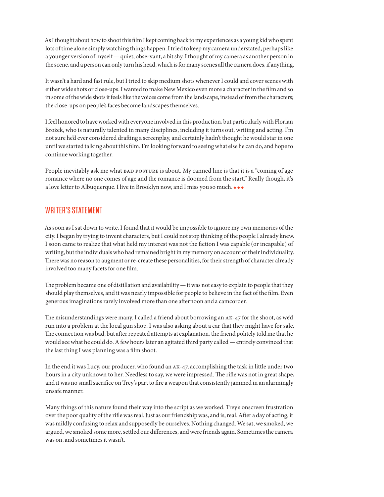As I thought about how to shoot this film I kept coming back to my experiences as a young kid who spent lots of time alone simply watching things happen. I tried to keep my camera understated, perhaps like a younger version of myself — quiet, observant, a bit shy. I thought of my camera as another person in the scene, and a person can only turn his head, which is for many scenes all the camera does, if anything.

It wasn't a hard and fast rule, but I tried to skip medium shots whenever I could and cover scenes with either wide shots or close-ups. I wanted to make New Mexico even more a character in the film and so in some of the wide shots it feels like the voices come from the landscape, instead of from the characters; the close-ups on people's faces become landscapes themselves.

I feel honored to have worked with everyone involved in this production, but particularly with Florian Brożek, who is naturally talented in many disciplines, including it turns out, writing and acting. I'm not sure he'd ever considered drafting a screenplay, and certainly hadn't thought he would star in one until we started talking about this film. I'm looking forward to seeing what else he can do, and hope to continue working together.

People inevitably ask me what BAD posture is about. My canned line is that it is a "coming of age romance where no one comes of age and the romance is doomed from the start." Really though, it's a love letter to Albuquerque. I live in Brooklyn now, and I miss you so much.  $\leftrightarrow\bullet$ 

# WRITER'S STATEMENT

As soon as I sat down to write, I found that it would be impossible to ignore my own memories of the city. I began by trying to invent characters, but I could not stop thinking of the people I already knew. I soon came to realize that what held my interest was not the fiction I was capable (or incapable) of writing, but the individuals who had remained bright in my memory on account of their individuality. There was no reason to augment or re-create these personalities, for their strength of character already involved too many facets for one film.

The problem became one of distillation and availability — it was not easy to explain to people that they should play themselves, and it was nearly impossible for people to believe in the fact of the film. Even generous imaginations rarely involved more than one afternoon and a camcorder.

The misunderstandings were many. I called a friend about borrowing an ak-47 for the shoot, as we'd run into a problem at the local gun shop. I was also asking about a car that they might have for sale. The connection was bad, but after repeated attempts at explanation, the friend politely told me that he would see what he could do. A few hours later an agitated third party called — entirely convinced that the last thing I was planning was a film shoot.

In the end it was Lucy, our producer, who found an ak-47, accomplishing the task in little under two hours in a city unknown to her. Needless to say, we were impressed. The rifle was not in great shape, and it was no small sacrifice on Trey's part to fire a weapon that consistently jammed in an alarmingly unsafe manner.

Many things of this nature found their way into the script as we worked. Trey's onscreen frustration over the poor quality of the rifle was real. Just as our friendship was, and is, real. After a day of acting, it was mildly confusing to relax and supposedly be ourselves. Nothing changed. We sat, we smoked, we argued, we smoked some more, settled our differences, and were friends again. Sometimes the camera was on, and sometimes it wasn't.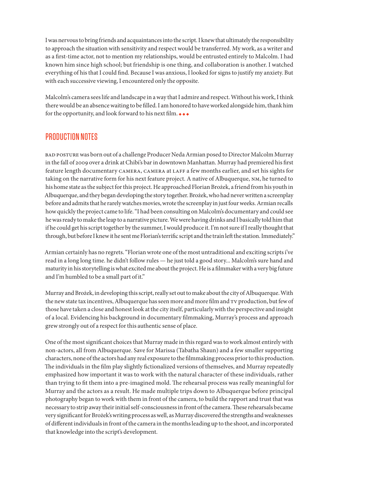I was nervous to bring friends and acquaintances into the script. I knew that ultimately the responsibility to approach the situation with sensitivity and respect would be transferred. My work, as a writer and as a first-time actor, not to mention my relationships, would be entrusted entirely to Malcolm. I had known him since high school; but friendship is one thing, and collaboration is another. I watched everything of his that I could find. Because I was anxious, I looked for signs to justify my anxiety. But with each successive viewing, I encountered only the opposite.

Malcolm's camera sees life and landscape in a way that I admire and respect. Without his work, I think there would be an absence waiting to be filled. I am honored to have worked alongside him, thank him for the opportunity, and look forward to his next film.  $\bullet\bullet\bullet$ 

# PRODUCTION NOTES

bad posture was born out of a challenge Producer Neda Armian posed to Director Malcolm Murray in the fall of 2009 over a drink at Chibi's bar in downtown Manhattan. Murray had premiered his first feature length documentary camera, camera at laff a few months earlier, and set his sights for taking on the narrative form for his next feature project. A native of Albuquerque, nm, he turned to his home state as the subject for this project. He approached Florian Brożek, a friend from his youth in Albuquerque, and they began developing the story together. Brożek, who had never written a screenplay before and admits that he rarely watches movies, wrote the screenplay in just four weeks. Armian recalls how quickly the project came to life. "I had been consulting on Malcolm's documentary and could see he was ready to make the leap to a narrative picture. We were having drinks and I basically told him that if he could get his script together by the summer, I would produce it. I'm not sure if I really thought that through, but before I knew it he sent me Florian's terrific script and the train left the station. Immediately."

Armian certainly has no regrets. "Florian wrote one of the most untraditional and exciting scripts i've read in a long long time. he didn't follow rules — he just told a good story... Malcolm's sure hand and maturity in his storytelling is what excited me about the project. He is a filmmaker with a very big future and I'm humbled to be a small part of it."

Murray and Brożek, in developing this script, really set out to make about the city of Albuquerque. With the new state tax incentives, Albuquerque has seen more and more film and tv production, but few of those have taken a close and honest look at the city itself, particularly with the perspective and insight of a local. Evidencing his background in documentary filmmaking, Murray's process and approach grew strongly out of a respect for this authentic sense of place.

One of the most significant choices that Murray made in this regard was to work almost entirely with non-actors, all from Albuquerque. Save for Marissa (Tabatha Shaun) and a few smaller supporting characters, none of the actors had any real exposure to the filmmaking process prior to this production. The individuals in the film play slightly fictionalized versions of themselves, and Murray repeatedly emphasized how important it was to work with the natural character of these individuals, rather than trying to fit them into a pre-imagined mold. The rehearsal process was really meaningful for Murray and the actors as a result. He made multiple trips down to Albuquerque before principal photography began to work with them in front of the camera, to build the rapport and trust that was necessary to strip away their initial self-consciousness in front of the camera. These rehearsals became very significant for Brożek's writing process as well, as Murray discovered the strengths and weaknesses of different individuals in front of the camera in the months leading up to the shoot, and incorporated that knowledge into the script's development.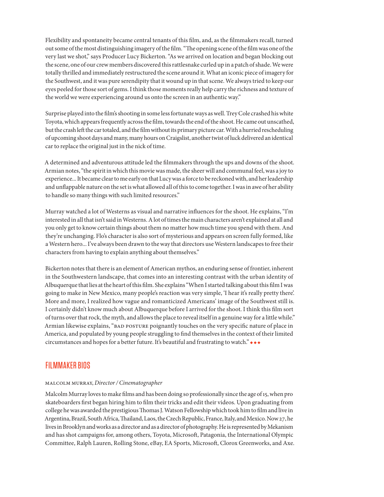Flexibility and spontaneity became central tenants of this film, and, as the filmmakers recall, turned out some of the most distinguishing imagery of the film. "The opening scene of the film was one of the very last we shot," says Producer Lucy Bickerton. "As we arrived on location and began blocking out the scene, one of our crew members discovered this rattlesnake curled up in a patch of shade. We were totally thrilled and immediately restructured the scene around it. What an iconic piece of imagery for the Southwest, and it was pure serendipity that it wound up in that scene. We always tried to keep our eyes peeled for those sort of gems. I think those moments really help carry the richness and texture of the world we were experiencing around us onto the screen in an authentic way."

Surprise played into the film's shooting in some less fortunate ways as well. Trey Cole crashed his white Toyota, which appears frequently across the film, towards the end of the shoot. He came out unscathed, but the crash left the car totaled, and the film without its primary picture car. With a hurried rescheduling of upcoming shoot days and many, many hours on Craigslist, another twist of luck delivered an identical car to replace the original just in the nick of time.

A determined and adventurous attitude led the filmmakers through the ups and downs of the shoot. Armian notes, "the spirit in which this movie was made, the sheer will and communal feel, was a joy to experience... It became clear to me early on that Lucy was a force to be reckoned with, and her leadership and unflappable nature on the set is what allowed all of this to come together. I was in awe of her ability to handle so many things with such limited resources."

Murray watched a lot of Westerns as visual and narrative influences for the shoot. He explains, "I'm interested in all that isn't said in Westerns. A lot of times the main characters aren't explained at all and you only get to know certain things about them no matter how much time you spend with them. And they're unchanging. Flo's character is also sort of mysterious and appears on screen fully formed, like a Western hero... I've always been drawn to the way that directors use Western landscapes to free their characters from having to explain anything about themselves."

Bickerton notes that there is an element of American mythos, an enduring sense of frontier, inherent in the Southwestern landscape, that comes into an interesting contrast with the urban identity of Albuquerque that lies at the heart of this film. She explains "When I started talking about this film I was going to make in New Mexico, many people's reaction was very simple, 'I hear it's really pretty there'. More and more, I realized how vague and romanticized Americans' image of the Southwest still is. I certainly didn't know much about Albuquerque before I arrived for the shoot. I think this film sort of turns over that rock, the myth, and allows the place to reveal itself in a genuine way for a little while." Armian likewise explains, "BAD POSTURE poignantly touches on the very specific nature of place in America, and populated by young people struggling to find themselves in the context of their limited circumstances and hopes for a better future. It's beautiful and frustrating to watch."  $\bullet\bullet\bullet$ 

# FILMMAKER BIOS

# malcolm murray, *Director / Cinematographer*

Malcolm Murray loves to make films and has been doing so professionally since the age of 15, when pro skateboarders first began hiring him to film their tricks and edit their videos. Upon graduating from college he was awarded the prestigious Thomas J. Watson Fellowship which took him to film and live in Argentina, Brazil, South Africa, Thailand, Laos, the Czech Republic, France, Italy, and Mexico. Now 27, he lives in Brooklyn and works as a director and as a director of photography. He is represented by Mekanism and has shot campaigns for, among others, Toyota, Microsoft, Patagonia, the International Olympic Committee, Ralph Lauren, Rolling Stone, eBay, EA Sports, Microsoft, Clorox Greenworks, and Axe.